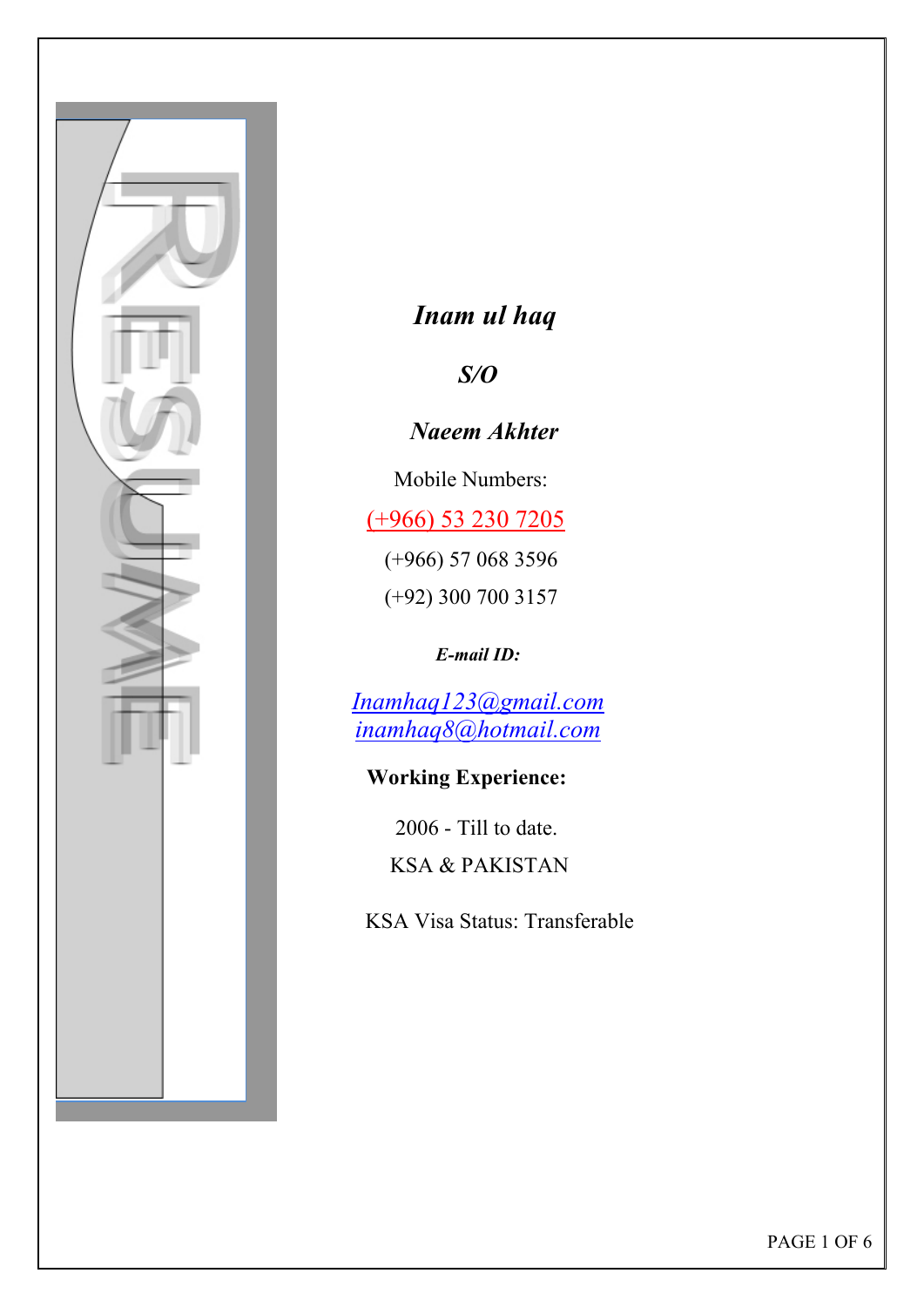

# *Inam ul haq*

## *S/O*

 *Naeem Akhter* 

Mobile Numbers:

(+966) 53 230 7205

 (+966) 57 068 3596 (+92) 300 700 3157

*E-mail ID:* 

*Inamhaq123@gmail.com inamhaq8@hotmail.com*

#### **Working Experience:**

 2006 - Till to date. KSA & PAKISTAN

KSA Visa Status: Transferable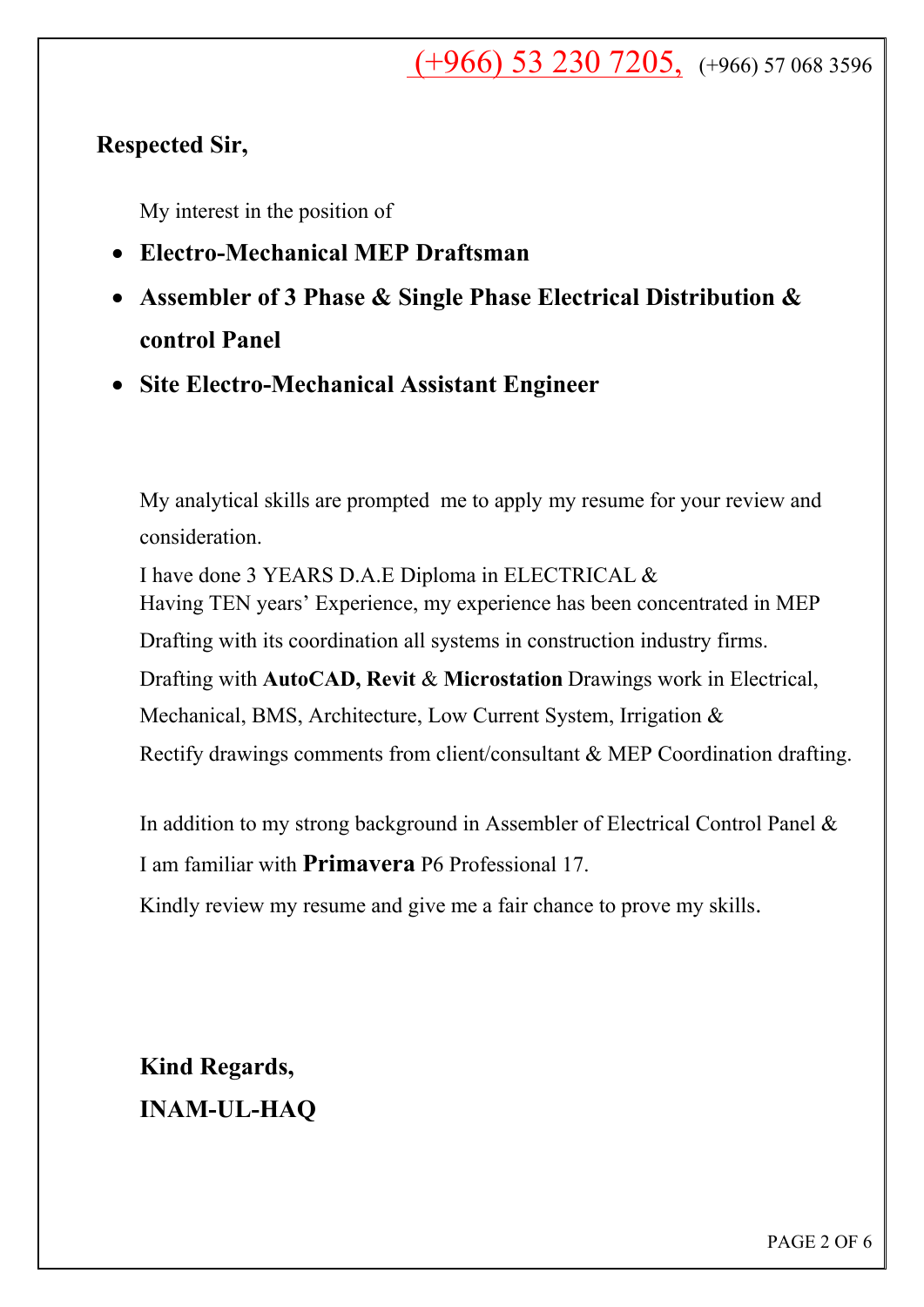$( +966)$  53 230 7205,  $(+966)$  57 068 3596

#### **Respected Sir,**

My interest in the position of

- **Electro-Mechanical MEP Draftsman**
- **Assembler of 3 Phase & Single Phase Electrical Distribution & control Panel**
- **Site Electro-Mechanical Assistant Engineer**

My analytical skills are prompted me to apply my resume for your review and consideration.

I have done 3 YEARS D.A.E Diploma in ELECTRICAL & Having TEN years' Experience, my experience has been concentrated in MEP Drafting with its coordination all systems in construction industry firms. Drafting with **AutoCAD, Revit** & **Microstation** Drawings work in Electrical, Mechanical, BMS, Architecture, Low Current System, Irrigation & Rectify drawings comments from client/consultant & MEP Coordination drafting.

In addition to my strong background in Assembler of Electrical Control Panel &

I am familiar with **Primavera** P6 Professional 17.

Kindly review my resume and give me a fair chance to prove my skills.

**Kind Regards, INAM-UL-HAQ**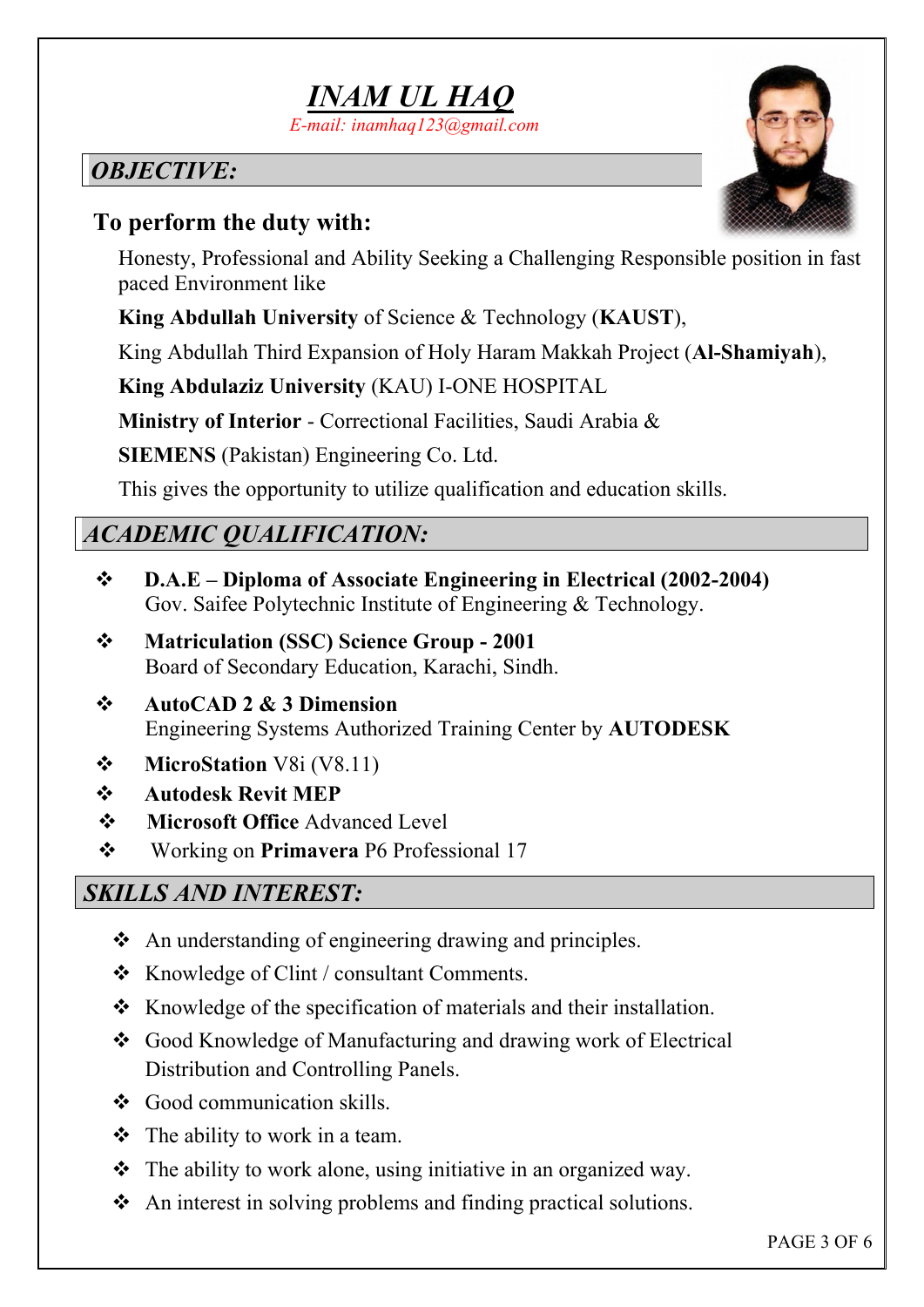

## *OBJECTIVE:*

## **To perform the duty with:**

Honesty, Professional and Ability Seeking a Challenging Responsible position in fast paced Environment like

**King Abdullah University** of Science & Technology (**KAUST**),

King Abdullah Third Expansion of Holy Haram Makkah Project (**Al-Shamiyah**),

**King Abdulaziz University** (KAU) I-ONE HOSPITAL

**Ministry of Interior** - Correctional Facilities, Saudi Arabia &

**SIEMENS** (Pakistan) Engineering Co. Ltd.

This gives the opportunity to utilize qualification and education skills.

## *ACADEMIC QUALIFICATION:*

- **D.A.E Diploma of Associate Engineering in Electrical (2002-2004)**  Gov. Saifee Polytechnic Institute of Engineering & Technology.
- **Matriculation (SSC) Science Group 2001**  Board of Secondary Education, Karachi, Sindh.
- **AutoCAD 2 & 3 Dimension**  Engineering Systems Authorized Training Center by **AUTODESK**
- **MicroStation** V8i (V8.11)
- **Autodesk Revit MEP**
- **Microsoft Office** Advanced Level
- Working on **Primavera** P6 Professional 17

## *SKILLS AND INTEREST:*

- $\triangle$  An understanding of engineering drawing and principles.
- $\triangleleft$  Knowledge of Clint / consultant Comments.
- $\bullet$  Knowledge of the specification of materials and their installation.
- Good Knowledge of Manufacturing and drawing work of Electrical Distribution and Controlling Panels.
- ❖ Good communication skills.
- $\div$  The ability to work in a team.
- $\triangle$  The ability to work alone, using initiative in an organized way.
- ❖ An interest in solving problems and finding practical solutions.

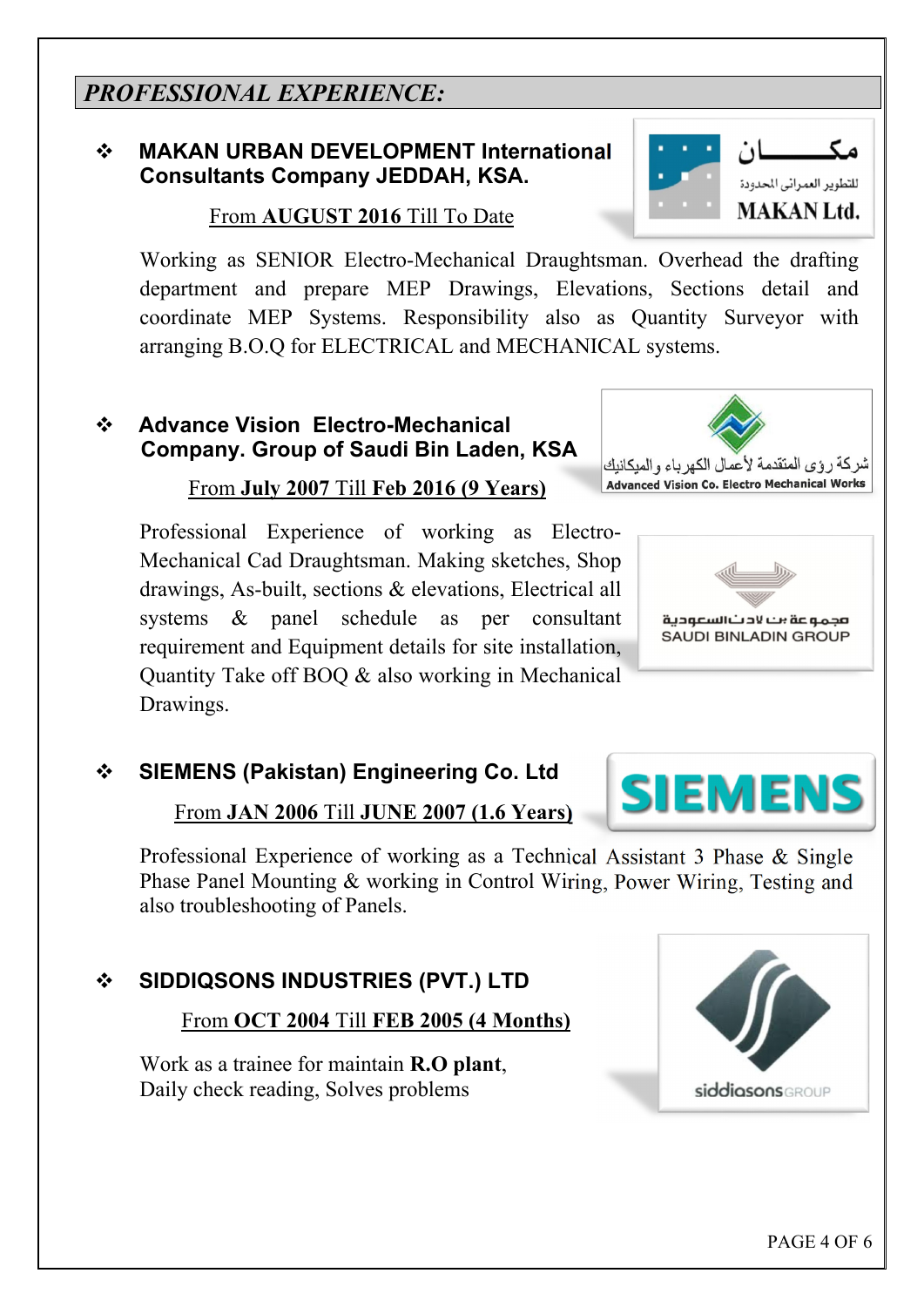### *PROFESSIONAL EXPERIENCE:*

#### **MAKAN URBAN DEVELOPMENT International Consultants Company JEDDAH, KSA.**

From **AUGUST 2016** Till To Date

Working as SENIOR Electro-Mechanical Draughtsman. Overhead the drafting department and prepare MEP Drawings, Elevations, Sections detail and coordinate MEP Systems. Responsibility also as Quantity Surveyor with arranging B.O.Q for ELECTRICAL and MECHANICAL systems.

#### **Advance Vision Electro-Mechanical Company. Group of Saudi Bin Laden, KSA**

#### From **July 2007** Till **Feb 2016 (9 Years)**

Professional Experience of working as Electro-Mechanical Cad Draughtsman. Making sketches, Shop drawings, As-built, sections & elevations, Electrical all systems & panel schedule as per consultant requirement and Equipment details for site installation, Quantity Take off BOQ & also working in Mechanical Drawings.

 **SIEMENS (Pakistan) Engineering Co. Ltd** 

From **JAN 2006** Till **JUNE 2007 (1.6 Years)**

Professional Experience of working as a Technical Assistant 3 Phase & Single Phase Panel Mounting & working in Control Wiring, Power Wiring, Testing and also troubleshooting of Panels.

**SIDDIQSONS INDUSTRIES (PVT.) LTD**

From **OCT 2004** Till **FEB 2005 (4 Months)**

Work as a trainee for maintain **R.O plant**, Daily check reading, Solves problems





**SIEMENS** 

شركة رؤى المتقدمة لأعمال الكهر باء والمبكانيك **Advanced Vision Co. Electro Mechanical Works** 

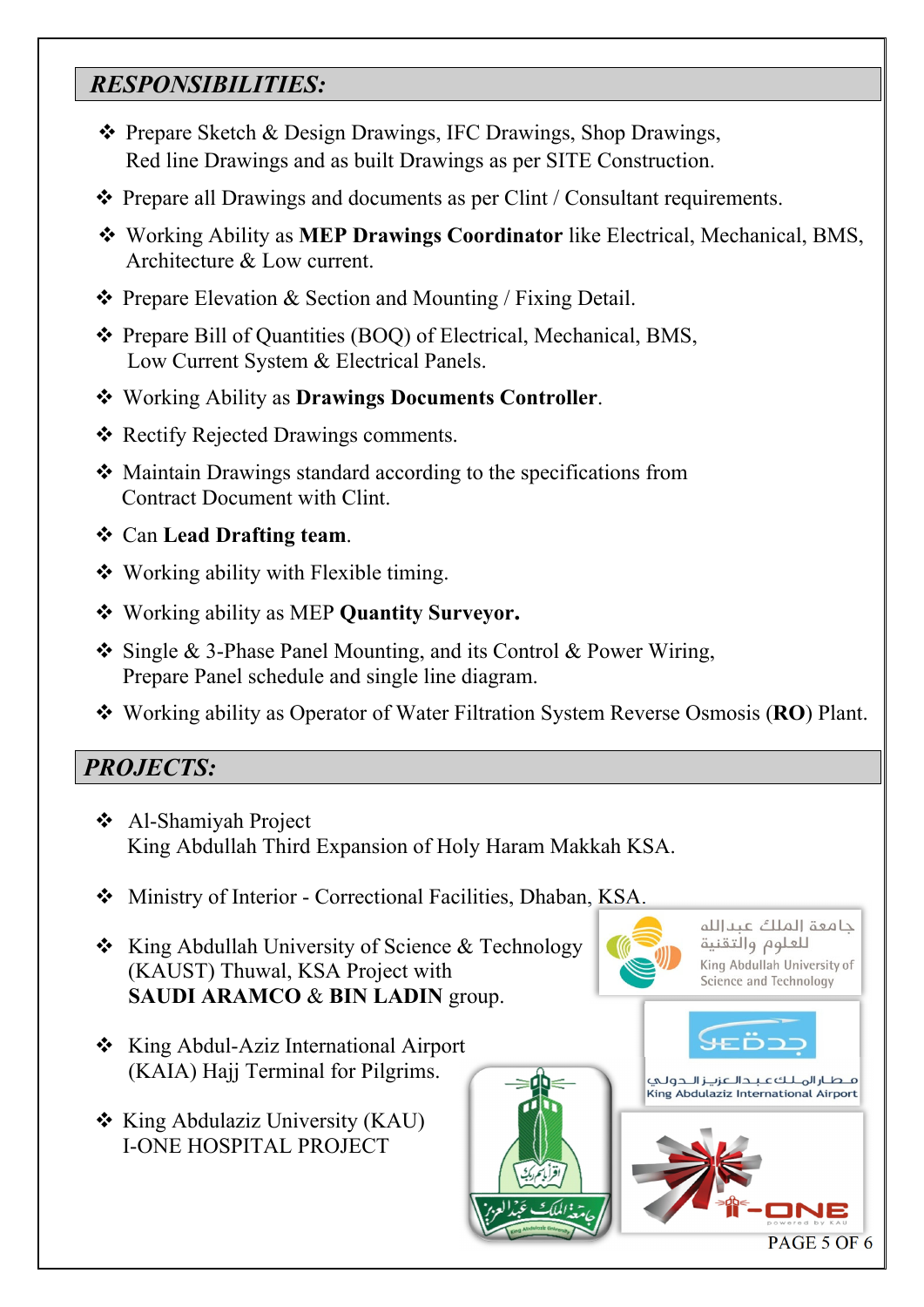## *RESPONSIBILITIES:*

- ◆ Prepare Sketch & Design Drawings, IFC Drawings, Shop Drawings, Red line Drawings and as built Drawings as per SITE Construction.
- Prepare all Drawings and documents as per Clint / Consultant requirements.
- Working Ability as **MEP Drawings Coordinator** like Electrical, Mechanical, BMS, Architecture & Low current.
- $\triangle$  Prepare Elevation & Section and Mounting / Fixing Detail.
- Prepare Bill of Quantities (BOQ) of Electrical, Mechanical, BMS, Low Current System & Electrical Panels.
- Working Ability as **Drawings Documents Controller**.
- ❖ Rectify Rejected Drawings comments.
- Maintain Drawings standard according to the specifications from Contract Document with Clint.
- Can **Lead Drafting team**.
- Working ability with Flexible timing.
- Working ability as MEP **Quantity Surveyor.**
- Single & 3-Phase Panel Mounting, and its Control & Power Wiring, Prepare Panel schedule and single line diagram.
- Working ability as Operator of Water Filtration System Reverse Osmosis (**RO**) Plant.

#### *PROJECTS:*

- Al-Shamiyah Project King Abdullah Third Expansion of Holy Haram Makkah KSA.
- Ministry of Interior Correctional Facilities, Dhaban, KSA.
- \* King Abdullah University of Science & Technology (KAUST) Thuwal, KSA Project with  **SAUDI ARAMCO** & **BIN LADIN** group.
- **❖** King Abdul-Aziz International Airport (KAIA) Hajj Terminal for Pilgrims.
- $\triangleleft$  King Abdulaziz University (KAU) I-ONE HOSPITAL PROJECT